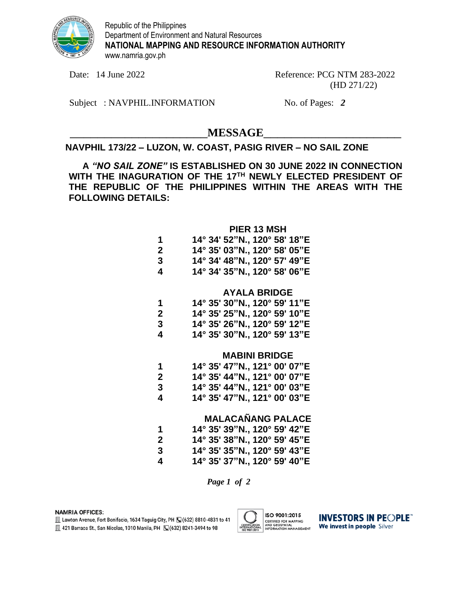

Republic of the Philippines Department of Environment and Natural Resources **NATIONAL MAPPING AND RESOURCE INFORMATION AUTHORITY** www.namria.gov.ph

Date: 14 June 2022 Reference: PCG NTM 283-2022 (HD 271/22)

Subject : NAVPHIL.INFORMATION No. of Pages: 2

 $MESSAGE$ 

# **NAVPHIL 173/22 – LUZON, W. COAST, PASIG RIVER – NO SAIL ZONE**

**A** *"NO SAIL ZONE"* **IS ESTABLISHED ON 30 JUNE 2022 IN CONNECTION WITH THE INAGURATION OF THE 17TH NEWLY ELECTED PRESIDENT OF THE REPUBLIC OF THE PHILIPPINES WITHIN THE AREAS WITH THE FOLLOWING DETAILS:**

## **PIER 13 MSH**

| 1 |  | 14° 34' 52"N., 120° 58' 18"E |  |  |
|---|--|------------------------------|--|--|
| 2 |  | 14° 35' 03"N., 120° 58' 05"E |  |  |
| 3 |  | 14° 34' 48"N., 120° 57' 49"E |  |  |
| 4 |  | 14° 34' 35"N., 120° 58' 06"E |  |  |

## **AYALA BRIDGE**

| 1 |  | 14° 35' 30"N., 120° 59' 11"E |  |  |
|---|--|------------------------------|--|--|
| 2 |  | 14° 35' 25"N., 120° 59' 10"E |  |  |
| 3 |  | 14° 35' 26"N., 120° 59' 12"E |  |  |
| 4 |  | 14° 35' 30"N., 120° 59' 13"E |  |  |

### **MABINI BRIDGE**

| 1 | 14° 35' 47"N., 121° 00' 07"E          |
|---|---------------------------------------|
| 2 | $14^{\circ}$ 35' 44"N., 121° 00' 07"E |
| 3 | 14° 35' 44"N., 121° 00' 03"E          |
| 4 | 14° 35' 47"N., 121° 00' 03"E          |

# **MALACAÑANG PALACE**

| 1 |  | 14° 35' 39"N., 120° 59' 42"E |  |  |
|---|--|------------------------------|--|--|
| 2 |  | 14° 35' 38"N., 120° 59' 45"E |  |  |
| 3 |  | 14° 35' 35"N., 120° 59' 43"E |  |  |
| 4 |  | 14° 35' 37"N., 120° 59' 40"E |  |  |

*Page 1 of 2*

#### **NAMRIA OFFICES:**

Lawton Avenue, Fort Bonifacio, 1634 Taguig City, PH [C] (632) 8810-4831 to 41 图 421 Barraca St., San Nicolas, 1010 Manila, PH ( 3(632) 8241-3494 to 98



**INVESTORS IN PEOPLE** We invest in people Silver